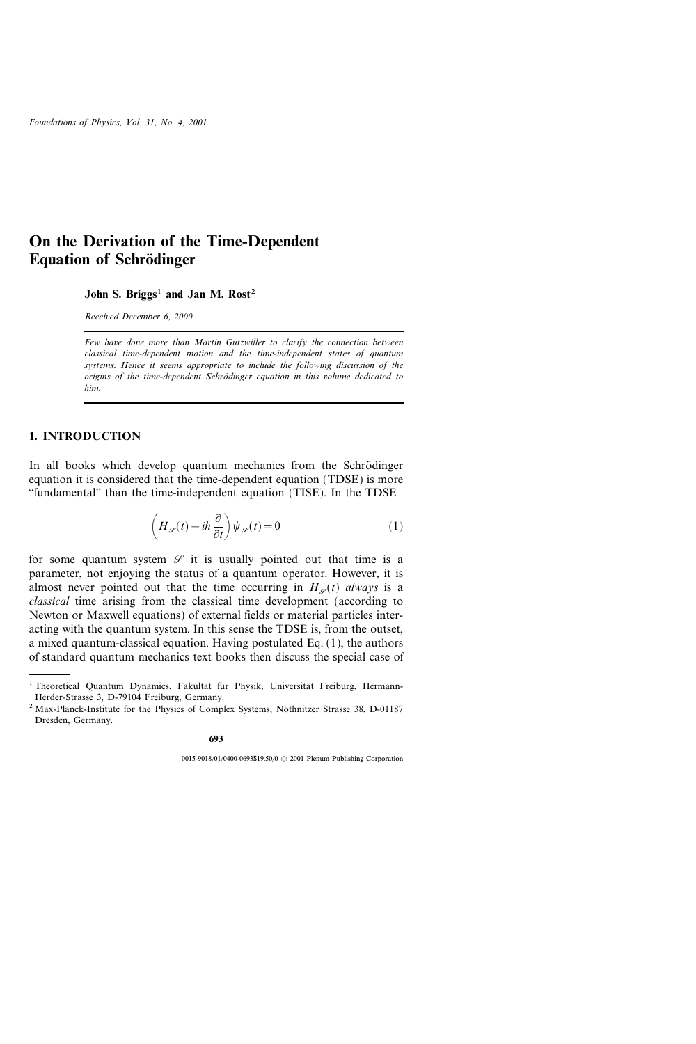# On the Derivation of the Time-Dependent **Equation of Schrödinger**

John S. Briggs<sup>1</sup> and Jan M. Rost<sup>2</sup>

Received December 6, 2000

Few have done more than Martin Gutzwiller to clarify the connection between classical time-dependent motion and the time-independent states of quantum systems. Hence it seems appropriate to include the following discussion of the origins of the time-dependent Schro dinger equation in this volume dedicated to him.

## 1. INTRODUCTION

In all books which develop quantum mechanics from the Schrödinger equation it is considered that the time-dependent equation (TDSE) is more ``fundamental'' than the time-independent equation (TISE). In the TDSE

$$
\left(H_{\mathscr{S}}(t) - i\hbar \frac{\partial}{\partial t}\right) \psi_{\mathscr{S}}(t) = 0
$$
\n(1)

for some quantum system  $\mathscr S$  it is usually pointed out that time is a parameter, not enjoying the status of a quantum operator. However, it is almost never pointed out that the time occurring in  $H<sub>\varphi</sub>(t)$  always is a classical time arising from the classical time development (according to Newton or Maxwell equations) of external fields or material particles interacting with the quantum system. In this sense the TDSE is, from the outset, a mixed quantum-classical equation. Having postulated Eq. (1), the authors of standard quantum mechanics text books then discuss the special case of

<sup>&</sup>lt;sup>1</sup> Theoretical Quantum Dynamics, Fakultät für Physik, Universität Freiburg, Hermann-Herder-Strasse 3, D-79104 Freiburg, Germany.

<sup>&</sup>lt;sup>2</sup> Max-Planck-Institute for the Physics of Complex Systems, Nöthnitzer Strasse 38, D-01187 Dresden, Germany.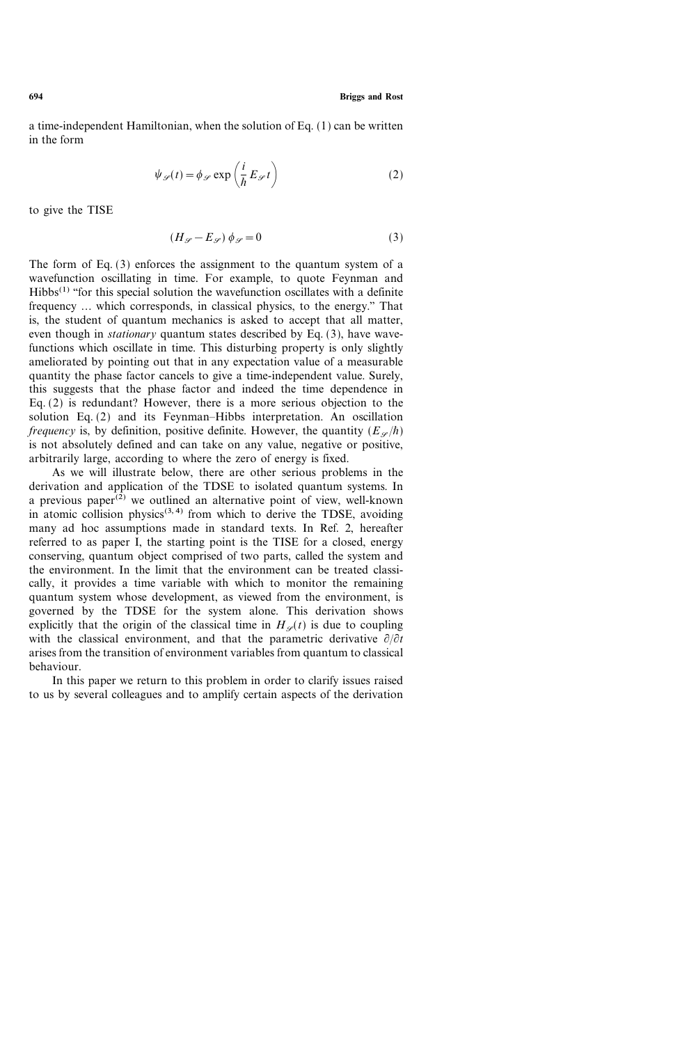a time-independent Hamiltonian, when the solution of Eq. (1) can be written in the form

$$
\psi_{\mathscr{S}}(t) = \phi_{\mathscr{S}} \exp\left(\frac{i}{\hbar} E_{\mathscr{S}} t\right)
$$
 (2)

to give the TISE

$$
(H_{\mathscr{S}} - E_{\mathscr{S}}) \phi_{\mathscr{S}} = 0 \tag{3}
$$

The form of Eq. (3) enforces the assignment to the quantum system of a wavefunction oscillating in time. For example, to quote Feynman and  $Hibbs<sup>(1)</sup>$  "for this special solution the wavefunction oscillates with a definite frequency ... which corresponds, in classical physics, to the energy.'' That is, the student of quantum mechanics is asked to accept that all matter, even though in *stationary* quantum states described by Eq. (3), have wavefunctions which oscillate in time. This disturbing property is only slightly ameliorated by pointing out that in any expectation value of a measurable quantity the phase factor cancels to give a time-independent value. Surely, this suggests that the phase factor and indeed the time dependence in Eq. (2) is redundant? However, there is a more serious objection to the solution Eq.  $(2)$  and its Feynman–Hibbs interpretation. An oscillation *frequency* is, by definition, positive definite. However, the quantity  $(E<sub>\varphi</sub>/\hbar)$ is not absolutely defined and can take on any value, negative or positive, arbitrarily large, according to where the zero of energy is fixed.

As we will illustrate below, there are other serious problems in the derivation and application of the TDSE to isolated quantum systems. In a previous paper $(2)$  we outlined an alternative point of view, well-known in atomic collision physics<sup> $(3, 4)$ </sup> from which to derive the TDSE, avoiding many ad hoc assumptions made in standard texts. In Ref. 2, hereafter referred to as paper I, the starting point is the TISE for a closed, energy conserving, quantum object comprised of two parts, called the system and the environment. In the limit that the environment can be treated classically, it provides a time variable with which to monitor the remaining quantum system whose development, as viewed from the environment, is governed by the TDSE for the system alone. This derivation shows explicitly that the origin of the classical time in  $H_{\varphi}(t)$  is due to coupling with the classical environment, and that the parametric derivative  $\partial/\partial t$ arises from the transition of environment variables from quantum to classical behaviour.

In this paper we return to this problem in order to clarify issues raised to us by several colleagues and to amplify certain aspects of the derivation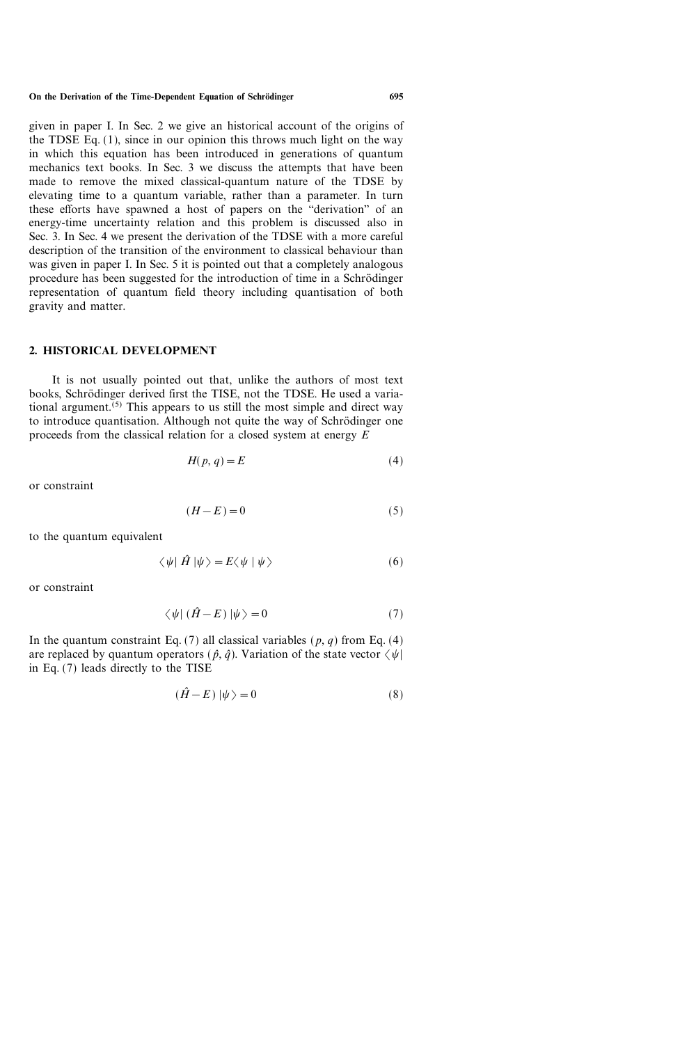given in paper I. In Sec. 2 we give an historical account of the origins of the TDSE Eq. (1), since in our opinion this throws much light on the way in which this equation has been introduced in generations of quantum mechanics text books. In Sec. 3 we discuss the attempts that have been made to remove the mixed classical-quantum nature of the TDSE by elevating time to a quantum variable, rather than a parameter. In turn these efforts have spawned a host of papers on the "derivation" of an energy-time uncertainty relation and this problem is discussed also in Sec. 3. In Sec. 4 we present the derivation of the TDSE with a more careful description of the transition of the environment to classical behaviour than was given in paper I. In Sec. 5 it is pointed out that a completely analogous procedure has been suggested for the introduction of time in a Schrödinger representation of quantum field theory including quantisation of both gravity and matter.

## 2. HISTORICAL DEVELOPMENT

It is not usually pointed out that, unlike the authors of most text books, Schrödinger derived first the TISE, not the TDSE. He used a variational argument.<sup> $(5)$ </sup> This appears to us still the most simple and direct way to introduce quantisation. Although not quite the way of Schrödinger one proceeds from the classical relation for a closed system at energy  $E$ 

$$
H(p,q) = E \tag{4}
$$

or constraint

$$
(H - E) = 0 \tag{5}
$$

to the quantum equivalent

$$
\langle \psi | \hat{H} | \psi \rangle = E \langle \psi | \psi \rangle \tag{6}
$$

or constraint

$$
\langle \psi | (\hat{H} - E) | \psi \rangle = 0 \tag{7}
$$

In the quantum constraint Eq. (7) all classical variables ( $p, q$ ) from Eq. (4) are replaced by quantum operators ( $\hat{p}$ ,  $\hat{q}$ ). Variation of the state vector  $\langle \psi |$ in Eq. (7) leads directly to the TISE

$$
(\hat{H} - E)|\psi\rangle = 0\tag{8}
$$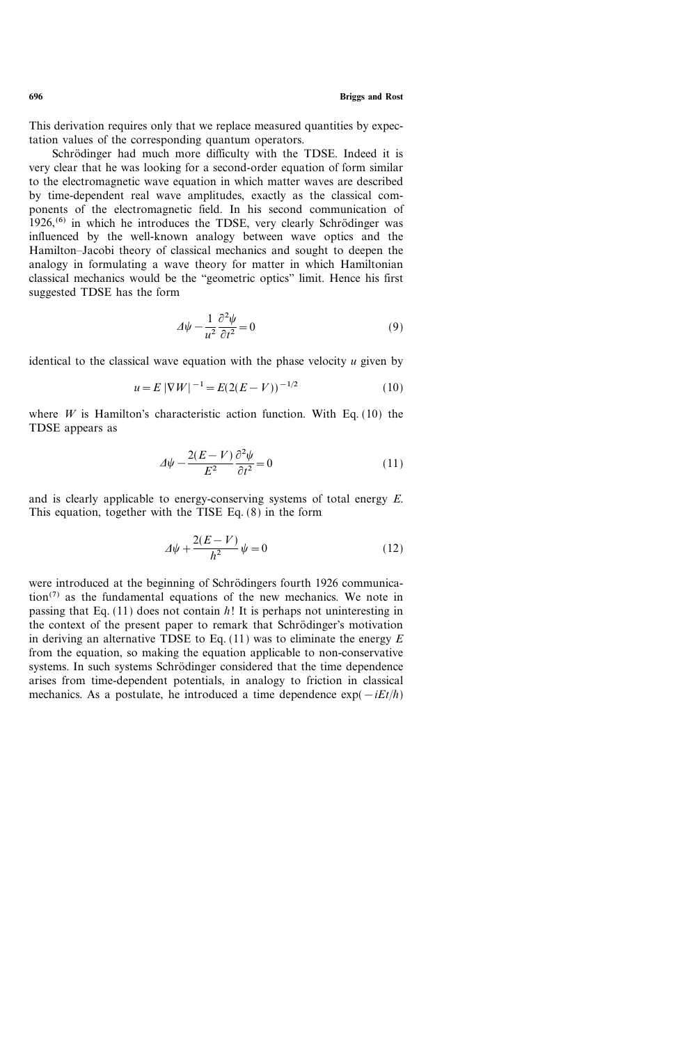This derivation requires only that we replace measured quantities by expectation values of the corresponding quantum operators.

Schrödinger had much more difficulty with the TDSE. Indeed it is very clear that he was looking for a second-order equation of form similar to the electromagnetic wave equation in which matter waves are described by time-dependent real wave amplitudes, exactly as the classical components of the electromagnetic field. In his second communication of  $1926<sub>1</sub>$ <sup>(6)</sup> in which he introduces the TDSE, very clearly Schrödinger was influenced by the well-known analogy between wave optics and the Hamilton-Jacobi theory of classical mechanics and sought to deepen the analogy in formulating a wave theory for matter in which Hamiltonian classical mechanics would be the "geometric optics" limit. Hence his first suggested TDSE has the form

$$
\Delta \psi - \frac{1}{u^2} \frac{\partial^2 \psi}{\partial t^2} = 0 \tag{9}
$$

identical to the classical wave equation with the phase velocity  $u$  given by

$$
u = E |\nabla W|^{-1} = E(2(E - V))^{-1/2}
$$
 (10)

where  $W$  is Hamilton's characteristic action function. With Eq. (10) the TDSE appears as

$$
\Delta \psi - \frac{2(E - V)}{E^2} \frac{\partial^2 \psi}{\partial t^2} = 0 \tag{11}
$$

and is clearly applicable to energy-conserving systems of total energy E. This equation, together with the TISE Eq. (8) in the form

$$
\Delta \psi + \frac{2(E - V)}{\hbar^2} \psi = 0 \tag{12}
$$

were introduced at the beginning of Schrödingers fourth 1926 communica- $\arctan^{(7)}$  as the fundamental equations of the new mechanics. We note in passing that Eq. (11) does not contain  $h!$  It is perhaps not uninteresting in the context of the present paper to remark that Schrödinger's motivation in deriving an alternative TDSE to Eq.  $(11)$  was to eliminate the energy E from the equation, so making the equation applicable to non-conservative systems. In such systems Schrödinger considered that the time dependence arises from time-dependent potentials, in analogy to friction in classical mechanics. As a postulate, he introduced a time dependence  $exp(-iEt/\hbar)$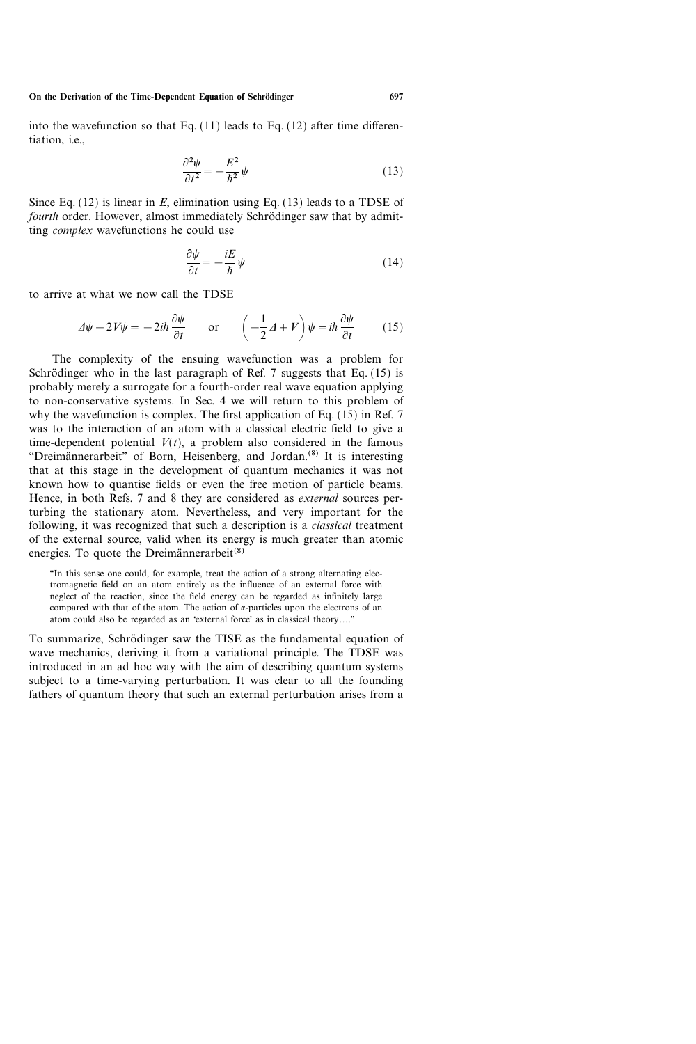On the Derivation of the Time-Dependent Equation of Schrödinger 697

into the wavefunction so that Eq.  $(11)$  leads to Eq.  $(12)$  after time differentiation, i.e.,

$$
\frac{\partial^2 \psi}{\partial t^2} = -\frac{E^2}{\hbar^2} \psi \tag{13}
$$

Since Eq.  $(12)$  is linear in E, elimination using Eq.  $(13)$  leads to a TDSE of fourth order. However, almost immediately Schrödinger saw that by admitting complex wavefunctions he could use

$$
\frac{\partial \psi}{\partial t} = -\frac{iE}{\hbar} \psi \tag{14}
$$

to arrive at what we now call the TDSE

$$
\Delta \psi - 2V\psi = -2i\hbar \frac{\partial \psi}{\partial t} \qquad \text{or} \qquad \left(-\frac{1}{2}\Delta + V\right)\psi = i\hbar \frac{\partial \psi}{\partial t} \tag{15}
$$

The complexity of the ensuing wavefunction was a problem for Schrödinger who in the last paragraph of Ref. 7 suggests that Eq.  $(15)$  is probably merely a surrogate for a fourth-order real wave equation applying to non-conservative systems. In Sec. 4 we will return to this problem of why the wavefunction is complex. The first application of Eq.  $(15)$  in Ref. 7 was to the interaction of an atom with a classical electric field to give a time-dependent potential  $V(t)$ , a problem also considered in the famous "Dreimännerarbeit" of Born, Heisenberg, and Jordan.<sup>(8)</sup> It is interesting that at this stage in the development of quantum mechanics it was not known how to quantise fields or even the free motion of particle beams. Hence, in both Refs. 7 and 8 they are considered as external sources perturbing the stationary atom. Nevertheless, and very important for the following, it was recognized that such a description is a classical treatment of the external source, valid when its energy is much greater than atomic energies. To quote the Dreimännerarbeit $(8)$ 

``In this sense one could, for example, treat the action of a strong alternating electromagnetic field on an atom entirely as the influence of an external force with neglect of the reaction, since the field energy can be regarded as infinitely large compared with that of the atom. The action of  $\alpha$ -particles upon the electrons of an atom could also be regarded as an 'external force' as in classical theory...."

To summarize, Schrödinger saw the TISE as the fundamental equation of wave mechanics, deriving it from a variational principle. The TDSE was introduced in an ad hoc way with the aim of describing quantum systems subject to a time-varying perturbation. It was clear to all the founding fathers of quantum theory that such an external perturbation arises from a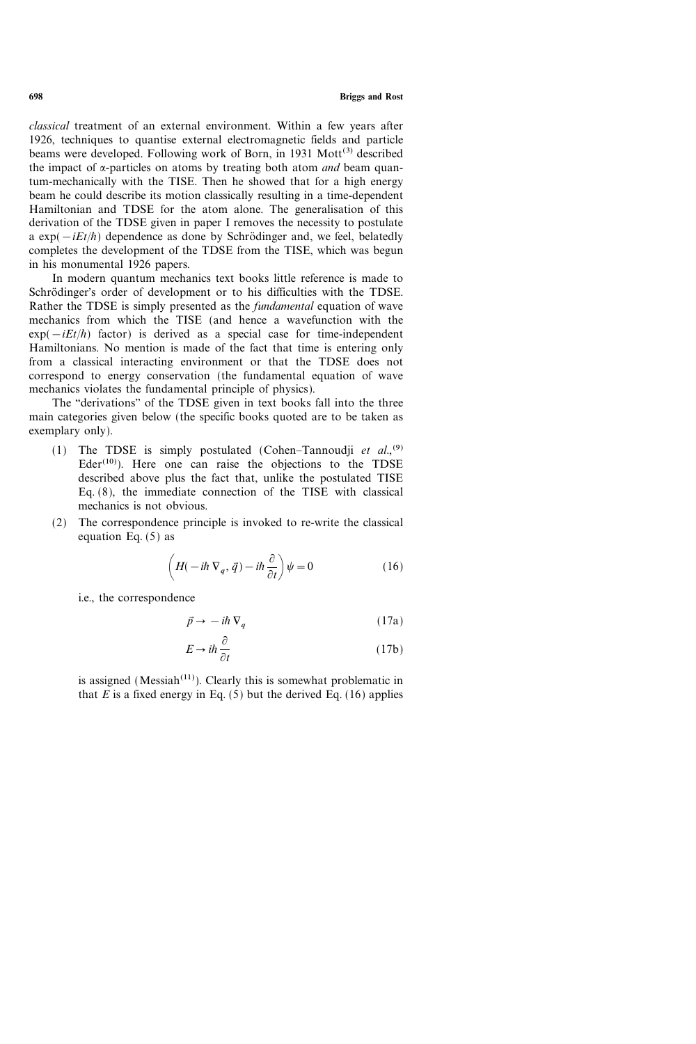698 Briggs and Rost

classical treatment of an external environment. Within a few years after 1926, techniques to quantise external electromagnetic fields and particle beams were developed. Following work of Born, in 1931  $Mott^{(3)}$  described the impact of  $\alpha$ -particles on atoms by treating both atom *and* beam quantum-mechanically with the TISE. Then he showed that for a high energy beam he could describe its motion classically resulting in a time-dependent Hamiltonian and TDSE for the atom alone. The generalisation of this derivation of the TDSE given in paper I removes the necessity to postulate a  $exp(-iEt/\hbar)$  dependence as done by Schrödinger and, we feel, belatedly completes the development of the TDSE from the TISE, which was begun in his monumental 1926 papers.

In modern quantum mechanics text books little reference is made to Schrödinger's order of development or to his difficulties with the TDSE. Rather the TDSE is simply presented as the fundamental equation of wave mechanics from which the TISE (and hence a wavefunction with the  $exp(-iEt/\hbar)$  factor) is derived as a special case for time-independent Hamiltonians. No mention is made of the fact that time is entering only from a classical interacting environment or that the TDSE does not correspond to energy conservation (the fundamental equation of wave mechanics violates the fundamental principle of physics).

The "derivations" of the TDSE given in text books fall into the three main categories given below (the specific books quoted are to be taken as exemplary only).

- (1) The TDSE is simply postulated (Cohen-Tannoudji et al.,<sup>(9)</sup>  $Eder<sup>(10)</sup>$ . Here one can raise the objections to the TDSE described above plus the fact that, unlike the postulated TISE Eq. (8), the immediate connection of the TISE with classical mechanics is not obvious.
- (2) The correspondence principle is invoked to re-write the classical equation Eq. (5) as

$$
\left(H(-i\hbar\nabla_q, \vec{q}) - i\hbar\frac{\partial}{\partial t}\right)\psi = 0
$$
\n(16)

i.e., the correspondence

$$
\vec{p} \to -i\hbar \,\nabla_q \tag{17a}
$$

$$
E \to i\hbar \frac{\partial}{\partial t} \tag{17b}
$$

is assigned (Messiah<sup> $(11)$ </sup>). Clearly this is somewhat problematic in that  $E$  is a fixed energy in Eq. (5) but the derived Eq. (16) applies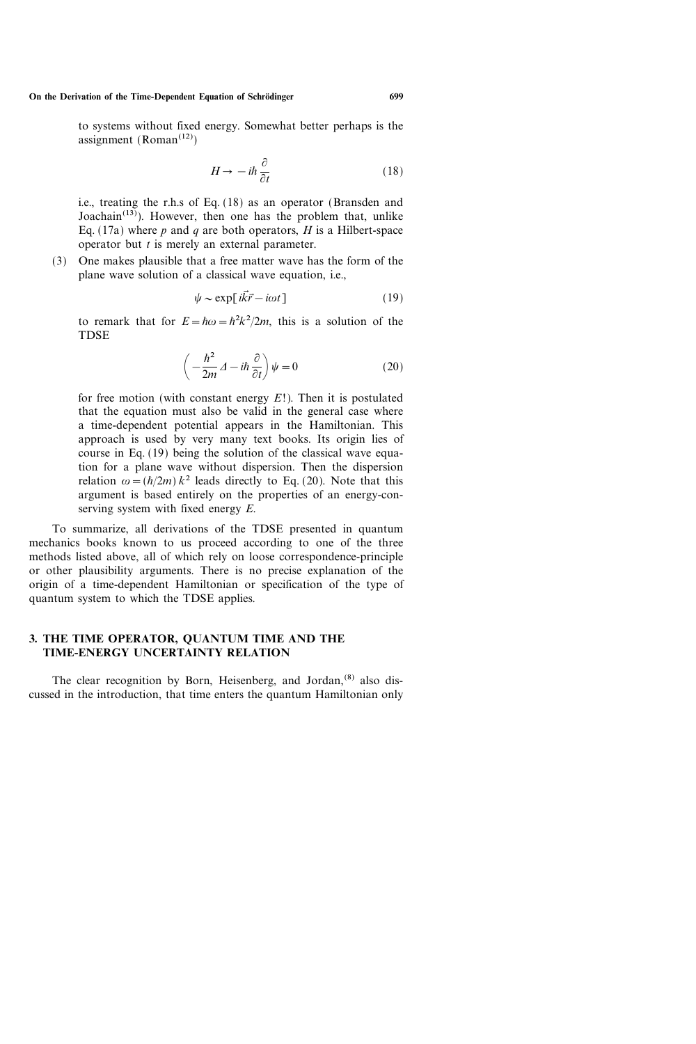#### On the Derivation of the Time-Dependent Equation of Schrödinger 699

to systems without fixed energy. Somewhat better perhaps is the assignment (Roman<sup> $(12)$ </sup>)

$$
H \to -i\hbar \frac{\partial}{\partial t} \tag{18}
$$

i.e., treating the r.h.s of Eq. (18) as an operator (Bransden and Joachain<sup> $(13)$ </sup>). However, then one has the problem that, unlike Eq. (17a) where p and q are both operators, H is a Hilbert-space operator but  $t$  is merely an external parameter.

(3) One makes plausible that a free matter wave has the form of the plane wave solution of a classical wave equation, i.e.,

$$
\psi \sim \exp[i\vec{k}\vec{r} - i\omega t] \tag{19}
$$

to remark that for  $E = \hbar \omega = \hbar^2 k^2 / 2m$ , this is a solution of the TDSE

$$
\left(-\frac{\hbar^2}{2m}A - i\hbar\frac{\partial}{\partial t}\right)\psi = 0\tag{20}
$$

for free motion (with constant energy  $E!$ ). Then it is postulated that the equation must also be valid in the general case where a time-dependent potential appears in the Hamiltonian. This approach is used by very many text books. Its origin lies of course in Eq. (19) being the solution of the classical wave equation for a plane wave without dispersion. Then the dispersion relation  $\omega = (h/2m) k^2$  leads directly to Eq. (20). Note that this argument is based entirely on the properties of an energy-conserving system with fixed energy E.

To summarize, all derivations of the TDSE presented in quantum mechanics books known to us proceed according to one of the three methods listed above, all of which rely on loose correspondence-principle or other plausibility arguments. There is no precise explanation of the origin of a time-dependent Hamiltonian or specification of the type of quantum system to which the TDSE applies.

# 3. THE TIME OPERATOR, QUANTUM TIME AND THE TIME-ENERGY UNCERTAINTY RELATION

The clear recognition by Born, Heisenberg, and Jordan,<sup>(8)</sup> also discussed in the introduction, that time enters the quantum Hamiltonian only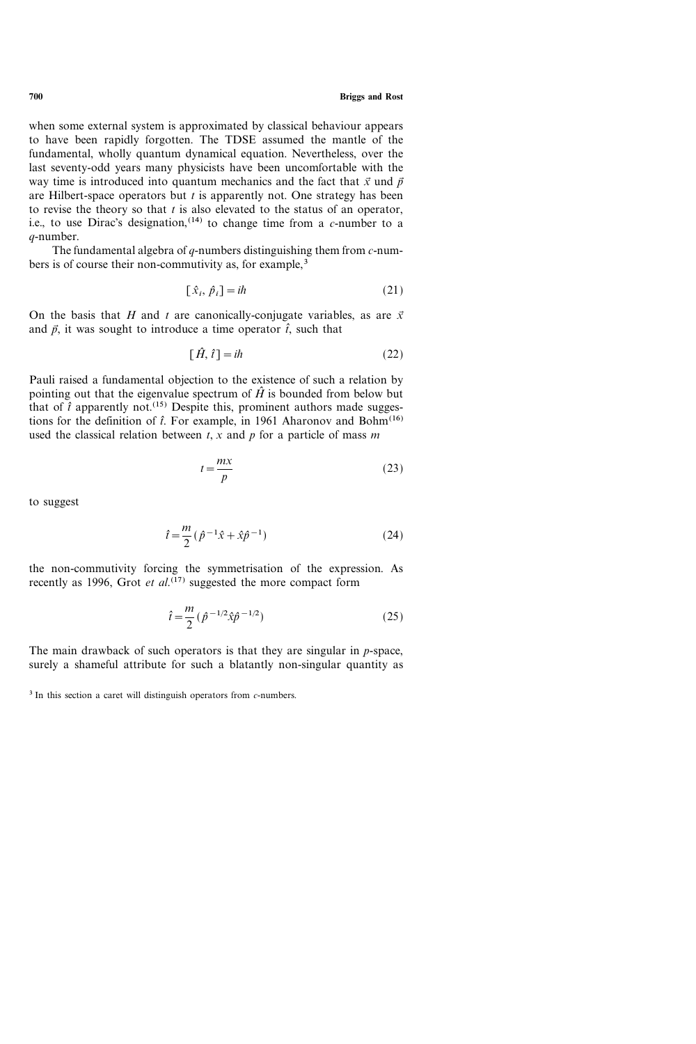when some external system is approximated by classical behaviour appears to have been rapidly forgotten. The TDSE assumed the mantle of the fundamental, wholly quantum dynamical equation. Nevertheless, over the last seventy-odd years many physicists have been uncomfortable with the way time is introduced into quantum mechanics and the fact that  $\vec{x}$  und  $\vec{p}$ are Hilbert-space operators but  $t$  is apparently not. One strategy has been to revise the theory so that  $t$  is also elevated to the status of an operator, i.e., to use Dirac's designation,<sup>(14)</sup> to change time from a *c*-number to a q-number.

The fundamental algebra of  $q$ -numbers distinguishing them from  $c$ -numbers is of course their non-commutivity as, for example,<sup>3</sup>

$$
[\hat{x}_i, \hat{p}_i] = i\hbar \tag{21}
$$

On the basis that H and t are canonically-conjugate variables, as are  $\vec{x}$ and  $\vec{p}$ , it was sought to introduce a time operator  $\hat{t}$ , such that

$$
[\hat{H}, \hat{t}] = i\hbar \tag{22}
$$

Pauli raised a fundamental objection to the existence of such a relation by pointing out that the eigenvalue spectrum of  $\hat{H}$  is bounded from below but that of  $\hat{t}$  apparently not.<sup>(15)</sup> Despite this, prominent authors made suggestions for the definition of  $\hat{t}$ . For example, in 1961 Aharonov and Bohm<sup>(16)</sup> used the classical relation between  $t$ ,  $x$  and  $p$  for a particle of mass  $m$ 

$$
t = \frac{mx}{p} \tag{23}
$$

to suggest

$$
\hat{t} = \frac{m}{2} (\hat{p}^{-1}\hat{x} + \hat{x}\hat{p}^{-1})
$$
 (24)

the non-commutivity forcing the symmetrisation of the expression. As recently as 1996, Grot et  $al$ .<sup>(17)</sup> suggested the more compact form

$$
\hat{t} = \frac{m}{2} \left( \hat{p}^{-1/2} \hat{x} \hat{p}^{-1/2} \right) \tag{25}
$$

The main drawback of such operators is that they are singular in  $p$ -space, surely a shameful attribute for such a blatantly non-singular quantity as

 $3$  In this section a caret will distinguish operators from  $c$ -numbers.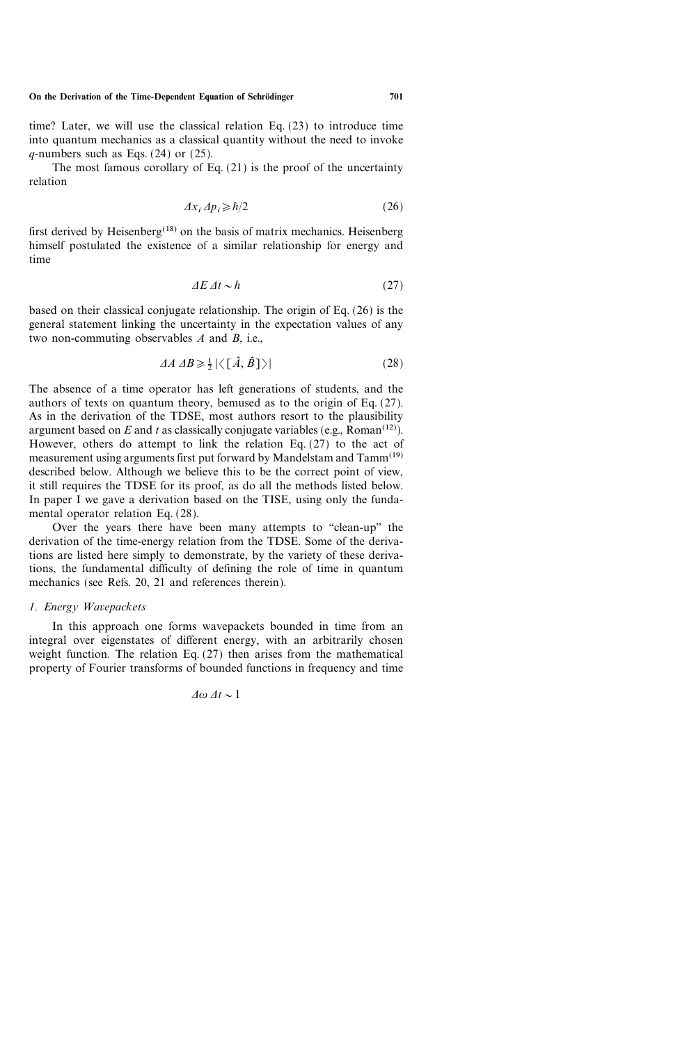time? Later, we will use the classical relation Eq. (23) to introduce time into quantum mechanics as a classical quantity without the need to invoke  $q$ -numbers such as Eqs. (24) or (25).

The most famous corollary of Eq.  $(21)$  is the proof of the uncertainty relation

$$
\Delta x_i \, \Delta p_i \ge \hbar/2 \tag{26}
$$

first derived by Heisenberg<sup>(18)</sup> on the basis of matrix mechanics. Heisenberg himself postulated the existence of a similar relationship for energy and time

$$
\Delta E \,\Delta t \sim \hbar \tag{27}
$$

based on their classical conjugate relationship. The origin of Eq. (26) is the general statement linking the uncertainty in the expectation values of any two non-commuting observables  $A$  and  $B$ , i.e.,

$$
\Delta A \, \Delta B \ge \frac{1}{2} \left| \left\langle \left[ \hat{A}, \hat{B} \right] \right\rangle \right| \tag{28}
$$

The absence of a time operator has left generations of students, and the authors of texts on quantum theory, bemused as to the origin of Eq. (27). As in the derivation of the TDSE, most authors resort to the plausibility argument based on E and t as classically conjugate variables (e.g., Roman<sup>(12)</sup>). However, others do attempt to link the relation Eq. (27) to the act of measurement using arguments first put forward by Mandelstam and Tamm<sup>(19)</sup> described below. Although we believe this to be the correct point of view, it still requires the TDSE for its proof, as do all the methods listed below. In paper I we gave a derivation based on the TISE, using only the fundamental operator relation Eq. (28).

Over the years there have been many attempts to "clean-up" the derivation of the time-energy relation from the TDSE. Some of the derivations are listed here simply to demonstrate, by the variety of these derivations, the fundamental difficulty of defining the role of time in quantum mechanics (see Refs. 20, 21 and references therein).

## 1. Energy Wavepackets

In this approach one forms wavepackets bounded in time from an integral over eigenstates of different energy, with an arbitrarily chosen weight function. The relation Eq. (27) then arises from the mathematical property of Fourier transforms of bounded functions in frequency and time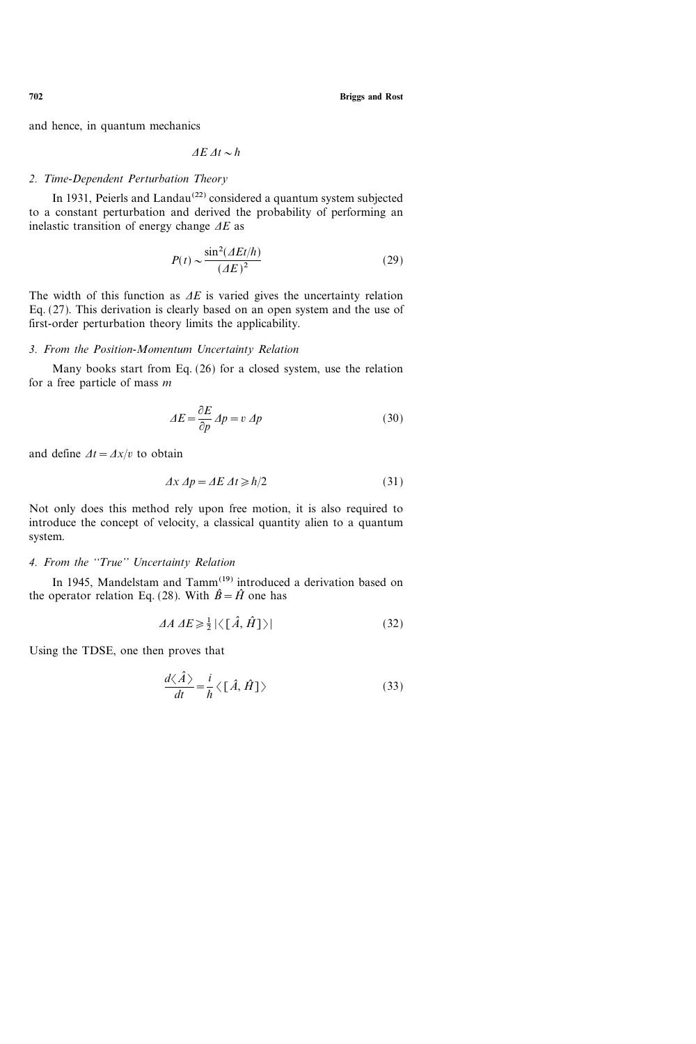and hence, in quantum mechanics

$$
\Delta E \, \Delta t \sim \hbar
$$

#### 2. Time-Dependent Perturbation Theory

In 1931, Peierls and Landau<sup>(22)</sup> considered a quantum system subjected to a constant perturbation and derived the probability of performing an inelastic transition of energy change  $\Delta E$  as

$$
P(t) \sim \frac{\sin^2(\Delta E t/\hbar)}{(\Delta E)^2}
$$
 (29)

The width of this function as  $\Delta E$  is varied gives the uncertainty relation Eq. (27). This derivation is clearly based on an open system and the use of first-order perturbation theory limits the applicability.

#### 3. From the Position-Momentum Uncertainty Relation

Many books start from Eq. (26) for a closed system, use the relation for a free particle of mass  $m$ 

$$
\Delta E = \frac{\partial E}{\partial p} \, Ap = v \, Ap \tag{30}
$$

and define  $\Delta t = \Delta x/v$  to obtain

$$
\Delta x \, \Delta p = \Delta E \, \Delta t \ge \hbar/2 \tag{31}
$$

Not only does this method rely upon free motion, it is also required to introduce the concept of velocity, a classical quantity alien to a quantum system.

#### 4. From the "True" Uncertainty Relation

In 1945, Mandelstam and Tamm<sup>(19)</sup> introduced a derivation based on the operator relation Eq. (28). With  $\hat{B} = \hat{H}$  one has

$$
\Delta A \, \Delta E \ge \frac{1}{2} \left| \left\langle \left[ \hat{A}, \hat{H} \right] \right\rangle \right| \tag{32}
$$

Using the TDSE, one then proves that

$$
\frac{d\langle\hat{A}\rangle}{dt} = \frac{i}{\hbar} \langle [\hat{A}, \hat{H}] \rangle \tag{33}
$$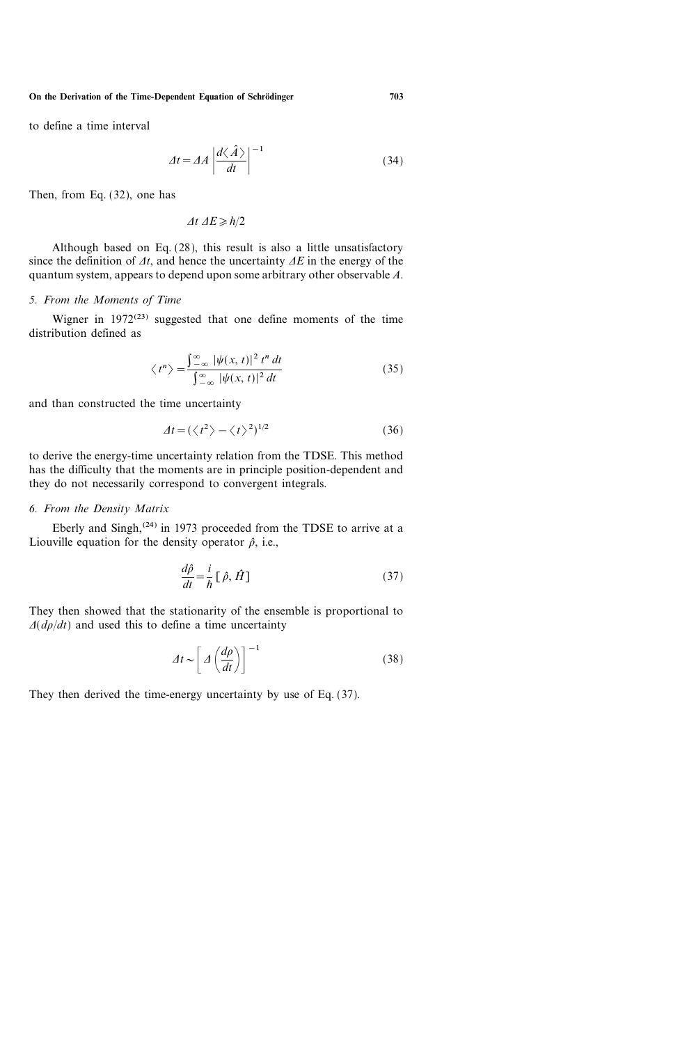to define a time interval

$$
\varDelta t = \varDelta A \left| \frac{d\langle \hat{A} \rangle}{dt} \right|^{-1} \tag{34}
$$

Then, from Eq. (32), one has

 $\Delta t \, \Delta E \geq h/2$ 

Although based on Eq. (28), this result is also a little unsatisfactory since the definition of  $\Delta t$ , and hence the uncertainty  $\Delta E$  in the energy of the quantum system, appears to depend upon some arbitrary other observable A.

#### 5. From the Moments of Time

Wigner in  $1972^{(23)}$  suggested that one define moments of the time distribution defined as

$$
\langle t^n \rangle = \frac{\int_{-\infty}^{\infty} |\psi(x, t)|^2 t^n dt}{\int_{-\infty}^{\infty} |\psi(x, t)|^2 dt}
$$
(35)

and than constructed the time uncertainty

$$
\Delta t = (\langle t^2 \rangle - \langle t \rangle^2)^{1/2} \tag{36}
$$

to derive the energy-time uncertainty relation from the TDSE. This method has the difficulty that the moments are in principle position-dependent and they do not necessarily correspond to convergent integrals.

#### 6. From the Density Matrix

Eberly and Singh,<sup>(24)</sup> in 1973 proceeded from the TDSE to arrive at a Liouville equation for the density operator  $\hat{\rho}$ , i.e.,

$$
\frac{d\hat{\rho}}{dt} = \frac{i}{\hbar} \left[ \hat{\rho}, \hat{H} \right]
$$
 (37)

They then showed that the stationarity of the ensemble is proportional to  $\Delta(d\rho/dt)$  and used this to define a time uncertainty

$$
\varDelta t \sim \left[ \varDelta \left( \frac{d\rho}{dt} \right) \right]^{-1} \tag{38}
$$

They then derived the time-energy uncertainty by use of Eq. (37).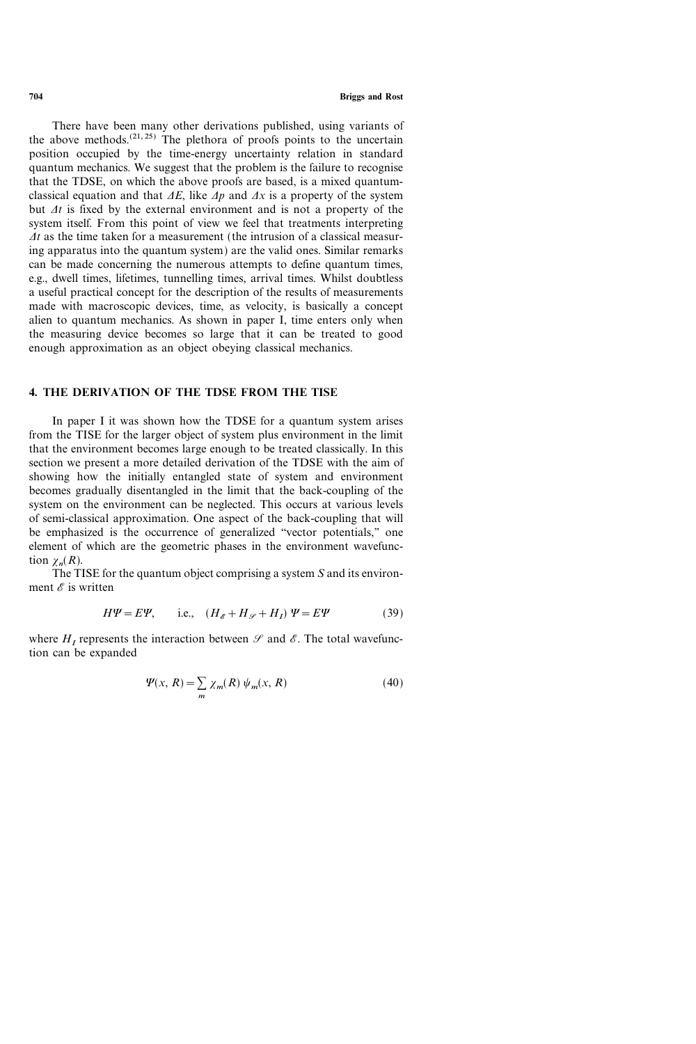704 Briggs and Rost

There have been many other derivations published, using variants of the above methods.<sup> $(21, 25)$ </sup> The plethora of proofs points to the uncertain position occupied by the time-energy uncertainty relation in standard quantum mechanics. We suggest that the problem is the failure to recognise that the TDSE, on which the above proofs are based, is a mixed quantumclassical equation and that  $\Delta E$ , like  $\Delta p$  and  $\Delta x$  is a property of the system but  $\Delta t$  is fixed by the external environment and is not a property of the system itself. From this point of view we feel that treatments interpreting  $\Delta t$  as the time taken for a measurement (the intrusion of a classical measuring apparatus into the quantum system) are the valid ones. Similar remarks can be made concerning the numerous attempts to define quantum times, e.g., dwell times, lifetimes, tunnelling times, arrival times. Whilst doubtless a useful practical concept for the description of the results of measurements made with macroscopic devices, time, as velocity, is basically a concept alien to quantum mechanics. As shown in paper I, time enters only when the measuring device becomes so large that it can be treated to good enough approximation as an object obeying classical mechanics.

## 4. THE DERIVATION OF THE TDSE FROM THE TISE

In paper I it was shown how the TDSE for a quantum system arises from the TISE for the larger object of system plus environment in the limit that the environment becomes large enough to be treated classically. In this section we present a more detailed derivation of the TDSE with the aim of showing how the initially entangled state of system and environment becomes gradually disentangled in the limit that the back-coupling of the system on the environment can be neglected. This occurs at various levels of semi-classical approximation. One aspect of the back-coupling that will be emphasized is the occurrence of generalized "vector potentials," one element of which are the geometric phases in the environment wavefunction  $\gamma_n(R)$ .

The TISE for the quantum object comprising a system S and its environment  $\mathscr E$  is written

$$
H\Psi = E\Psi, \qquad \text{i.e.,} \quad (H_{\mathscr{E}} + H_{\mathscr{S}} + H_{I}) \Psi = E\Psi \tag{39}
$$

where  $H<sub>I</sub>$  represents the interaction between  $\mathscr S$  and  $\mathscr E$ . The total wavefunction can be expanded

$$
\Psi(x, R) = \sum_{m} \chi_{m}(R) \psi_{m}(x, R) \tag{40}
$$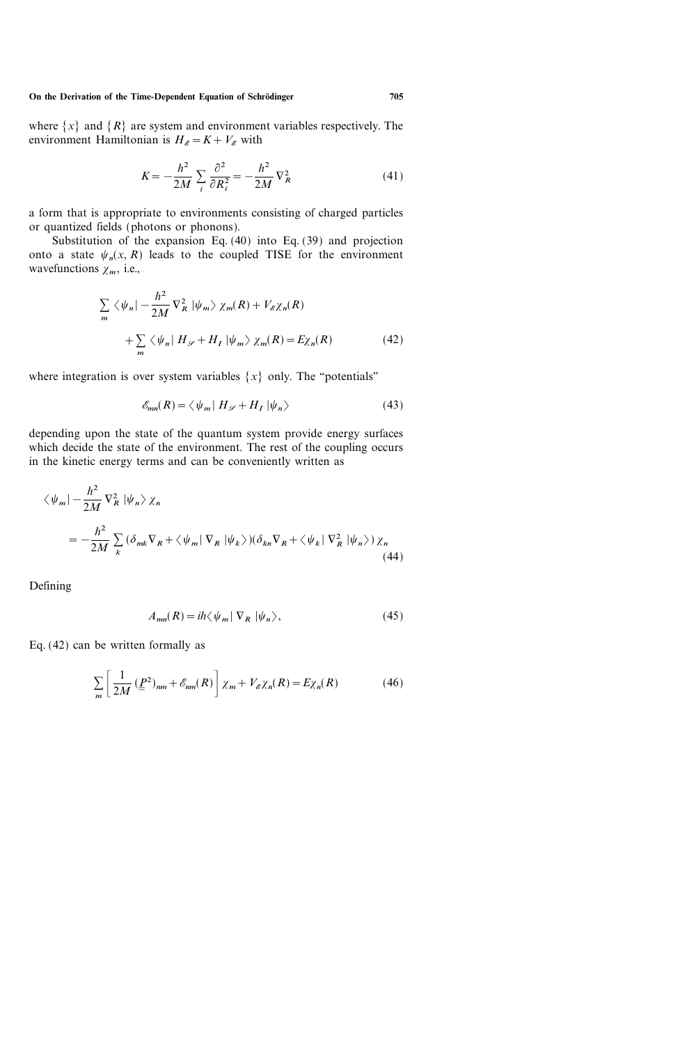where  $\{x\}$  and  $\{R\}$  are system and environment variables respectively. The environment Hamiltonian is  $H_{\mathscr{E}}=K+V_{\mathscr{E}}$  with

$$
K = -\frac{\hbar^2}{2M} \sum_i \frac{\partial^2}{\partial R_i^2} = -\frac{\hbar^2}{2M} \nabla_R^2 \tag{41}
$$

a form that is appropriate to environments consisting of charged particles or quantized fields (photons or phonons).

Substitution of the expansion Eq. (40) into Eq. (39) and projection onto a state  $\psi_n(x, R)$  leads to the coupled TISE for the environment wavefunctions  $\chi_m$ , i.e.,

$$
\sum_{m} \langle \psi_{n} | - \frac{\hbar^{2}}{2M} \nabla_{R}^{2} | \psi_{m} \rangle \chi_{m}(R) + V_{\mathscr{E}} \chi_{n}(R)
$$
  
+ 
$$
\sum_{m} \langle \psi_{n} | H_{\mathscr{S}} + H_{I} | \psi_{m} \rangle \chi_{m}(R) = E \chi_{n}(R)
$$
(42)

where integration is over system variables  $\{x\}$  only. The "potentials"

$$
\mathcal{E}_{mn}(R) = \langle \psi_m | H_{\mathcal{S}} + H_I | \psi_n \rangle \tag{43}
$$

depending upon the state of the quantum system provide energy surfaces which decide the state of the environment. The rest of the coupling occurs in the kinetic energy terms and can be conveniently written as

$$
\langle \psi_m | - \frac{\hbar^2}{2M} \nabla_R^2 | \psi_n \rangle \chi_n
$$
  
= 
$$
- \frac{\hbar^2}{2M} \sum_k (\delta_{mk} \nabla_R + \langle \psi_m | \nabla_R | \psi_k \rangle) (\delta_{kn} \nabla_R + \langle \psi_k | \nabla_R^2 | \psi_n \rangle) \chi_n
$$
(44)

Defining

$$
A_{mn}(R) = i\hbar \langle \psi_m | \nabla_R | \psi_n \rangle, \tag{45}
$$

Eq. (42) can be written formally as

$$
\sum_{m} \left[ \frac{1}{2M} \left( \underline{P}^2 \right)_{nm} + \mathcal{E}_{nm}(R) \right] \chi_m + V_{\mathcal{E}} \chi_n(R) = E \chi_n(R) \tag{46}
$$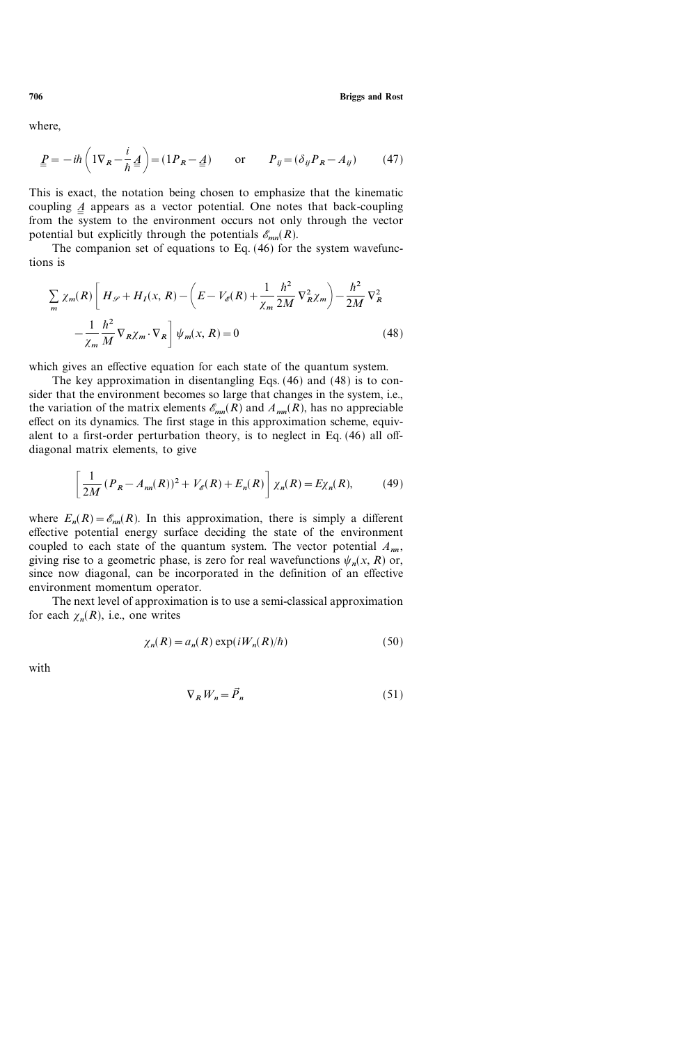where,

$$
\underline{P} = -i\hbar \left( 1\nabla_R - \frac{i}{\hbar} \underline{A} \right) = (1P_R - \underline{A}) \qquad \text{or} \qquad P_{ij} = (\delta_{ij} P_R - A_{ij}) \tag{47}
$$

This is exact, the notation being chosen to emphasize that the kinematic coupling  $\Delta$  appears as a vector potential. One notes that back-coupling ֦֧<u>֚֓</u>֖֚֚֓ from the system to the environment occurs not only through the vector potential but explicitly through the potentials  $\mathscr{E}_{mn}(R)$ .

The companion set of equations to Eq. (46) for the system wavefunctions is

$$
\sum_{m} \chi_{m}(R) \left[ H_{\mathscr{S}} + H_{I}(x, R) - \left( E - V_{\mathscr{E}}(R) + \frac{1}{\chi_{m}} \frac{\hbar^{2}}{2M} \nabla_{R}^{2} \chi_{m} \right) - \frac{\hbar^{2}}{2M} \nabla_{R}^{2} - \frac{1}{\chi_{m}} \frac{\hbar^{2}}{M} \nabla_{R} \chi_{m} \cdot \nabla_{R} \right] \psi_{m}(x, R) = 0
$$
\n(48)

which gives an effective equation for each state of the quantum system.

The key approximation in disentangling Eqs. (46) and (48) is to consider that the environment becomes so large that changes in the system, i.e., the variation of the matrix elements  $\mathcal{E}_{mn}(R)$  and  $A_{mn}(R)$ , has no appreciable effect on its dynamics. The first stage in this approximation scheme, equivalent to a first-order perturbation theory, is to neglect in Eq. (46) all offdiagonal matrix elements, to give

$$
\left[\frac{1}{2M}(P_R - A_{nn}(R))^2 + V_{\mathscr{E}}(R) + E_n(R)\right]\chi_n(R) = E\chi_n(R),\tag{49}
$$

where  $E_n(R) = \mathcal{E}_{nn}(R)$ . In this approximation, there is simply a different effective potential energy surface deciding the state of the environment coupled to each state of the quantum system. The vector potential  $A_{nn}$ , giving rise to a geometric phase, is zero for real wavefunctions  $\psi_n(x, R)$  or, since now diagonal, can be incorporated in the definition of an effective environment momentum operator.

The next level of approximation is to use a semi-classical approximation for each  $\chi_n(R)$ , i.e., one writes

$$
\chi_n(R) = a_n(R) \exp(iW_n(R)/\hbar) \tag{50}
$$

with

$$
\nabla_R W_n = \vec{P}_n \tag{51}
$$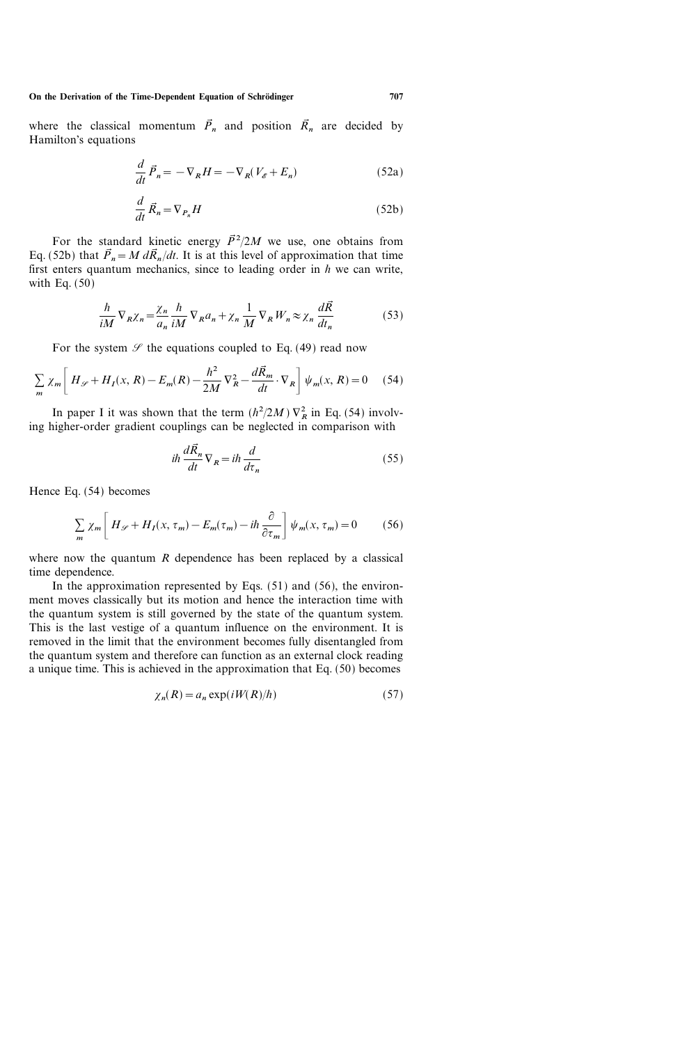where the classical momentum  $\vec{P}_n$  and position  $\vec{R}_n$  are decided by Hamilton's equations

$$
\frac{d}{dt}\vec{P}_n = -\nabla_R H = -\nabla_R (V_\mathscr{E} + E_n)
$$
\n(52a)

$$
\frac{d}{dt}\vec{R}_n = \nabla_{P_n}H\tag{52b}
$$

For the standard kinetic energy  $\vec{P}^2/2M$  we use, one obtains from Eq. (52b) that  $\vec{P}_n = M d\vec{R}_n/dt$ . It is at this level of approximation that time first enters quantum mechanics, since to leading order in  $h$  we can write, with Eq. (50)

$$
\frac{h}{iM} \nabla_R \chi_n = \frac{\chi_n}{a_n} \frac{h}{iM} \nabla_R a_n + \chi_n \frac{1}{M} \nabla_R W_n \approx \chi_n \frac{d\vec{R}}{dt_n}
$$
(53)

For the system  $\mathcal{S}$  the equations coupled to Eq. (49) read now

$$
\sum_{m} \chi_{m} \left[ H_{\mathscr{S}} + H_{I}(x, R) - E_{m}(R) - \frac{\hbar^{2}}{2M} \nabla_{R}^{2} - \frac{d\vec{R}_{m}}{dt} \cdot \nabla_{R} \right] \psi_{m}(x, R) = 0 \quad (54)
$$

In paper I it was shown that the term  $(h^2/2M)$   $\nabla_R^2$  in Eq. (54) involving higher-order gradient couplings can be neglected in comparison with

$$
i\hbar \frac{d\vec{R}_n}{dt} \nabla_R = i\hbar \frac{d}{d\tau_n}
$$
\n(55)

Hence Eq. (54) becomes

$$
\sum_{m} \chi_{m} \left[ H_{\mathscr{S}} + H_{I}(x, \tau_{m}) - E_{m}(\tau_{m}) - i\hbar \frac{\partial}{\partial \tau_{m}} \right] \psi_{m}(x, \tau_{m}) = 0 \tag{56}
$$

where now the quantum  $R$  dependence has been replaced by a classical time dependence.

In the approximation represented by Eqs.  $(51)$  and  $(56)$ , the environment moves classically but its motion and hence the interaction time with the quantum system is still governed by the state of the quantum system. This is the last vestige of a quantum influence on the environment. It is removed in the limit that the environment becomes fully disentangled from the quantum system and therefore can function as an external clock reading a unique time. This is achieved in the approximation that Eq. (50) becomes

$$
\chi_n(R) = a_n \exp(iW(R)/\hbar) \tag{57}
$$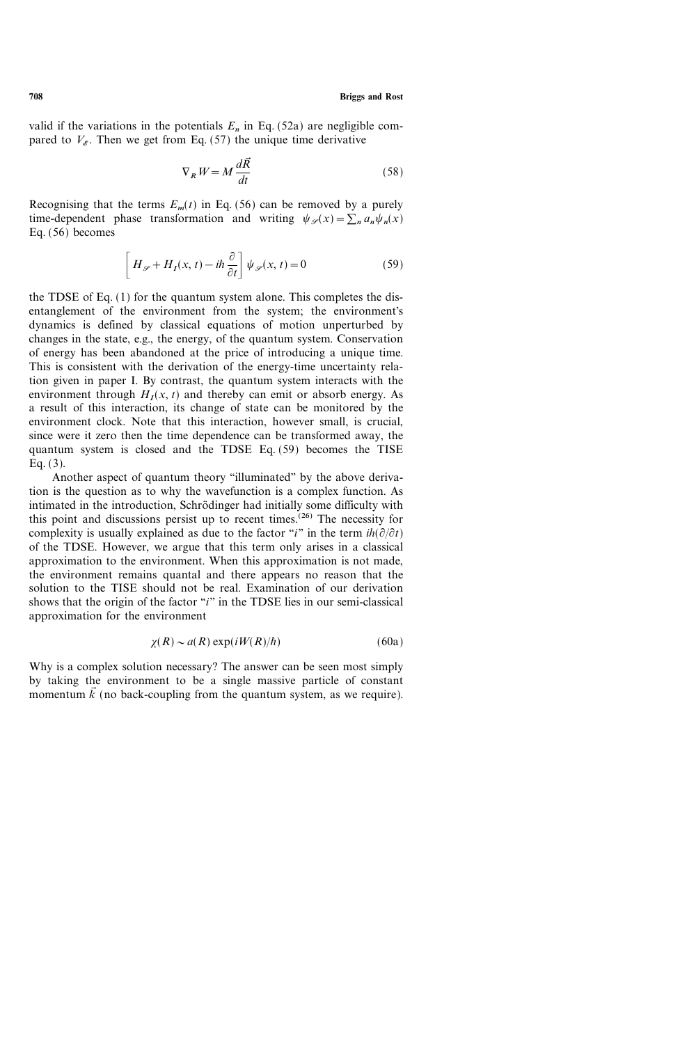valid if the variations in the potentials  $E_n$  in Eq. (52a) are negligible compared to  $V<sub>e</sub>$ . Then we get from Eq. (57) the unique time derivative

$$
\nabla_R W = M \frac{d\vec{R}}{dt} \tag{58}
$$

Recognising that the terms  $E_m(t)$  in Eq. (56) can be removed by a purely time-dependent phase transformation and writing  $\psi_{\mathscr{S}}(x)=\sum_{n} a_n \psi_n(x)$ Eq.  $(56)$  becomes

$$
\[H_{\mathscr{S}} + H_{I}(x,t) - i\hbar \frac{\partial}{\partial t}\]\psi_{\mathscr{S}}(x,t) = 0 \tag{59}
$$

the TDSE of Eq. (1) for the quantum system alone. This completes the disentanglement of the environment from the system; the environment's dynamics is defined by classical equations of motion unperturbed by changes in the state, e.g., the energy, of the quantum system. Conservation of energy has been abandoned at the price of introducing a unique time. This is consistent with the derivation of the energy-time uncertainty relation given in paper I. By contrast, the quantum system interacts with the environment through  $H<sub>I</sub>(x, t)$  and thereby can emit or absorb energy. As a result of this interaction, its change of state can be monitored by the environment clock. Note that this interaction, however small, is crucial, since were it zero then the time dependence can be transformed away, the quantum system is closed and the TDSE Eq. (59) becomes the TISE Eq. (3).

Another aspect of quantum theory "illuminated" by the above derivation is the question as to why the wavefunction is a complex function. As intimated in the introduction, Schrödinger had initially some difficulty with this point and discussions persist up to recent times.<sup> $(26)$ </sup> The necessity for complexity is usually explained as due to the factor "i" in the term  $ih(\partial/\partial t)$ of the TDSE. However, we argue that this term only arises in a classical approximation to the environment. When this approximation is not made, the environment remains quantal and there appears no reason that the solution to the TISE should not be real. Examination of our derivation shows that the origin of the factor " $i$ " in the TDSE lies in our semi-classical approximation for the environment

$$
\chi(R) \sim a(R) \exp(iW(R)/\hbar) \tag{60a}
$$

Why is a complex solution necessary? The answer can be seen most simply by taking the environment to be a single massive particle of constant momentum  $\vec{k}$  (no back-coupling from the quantum system, as we require).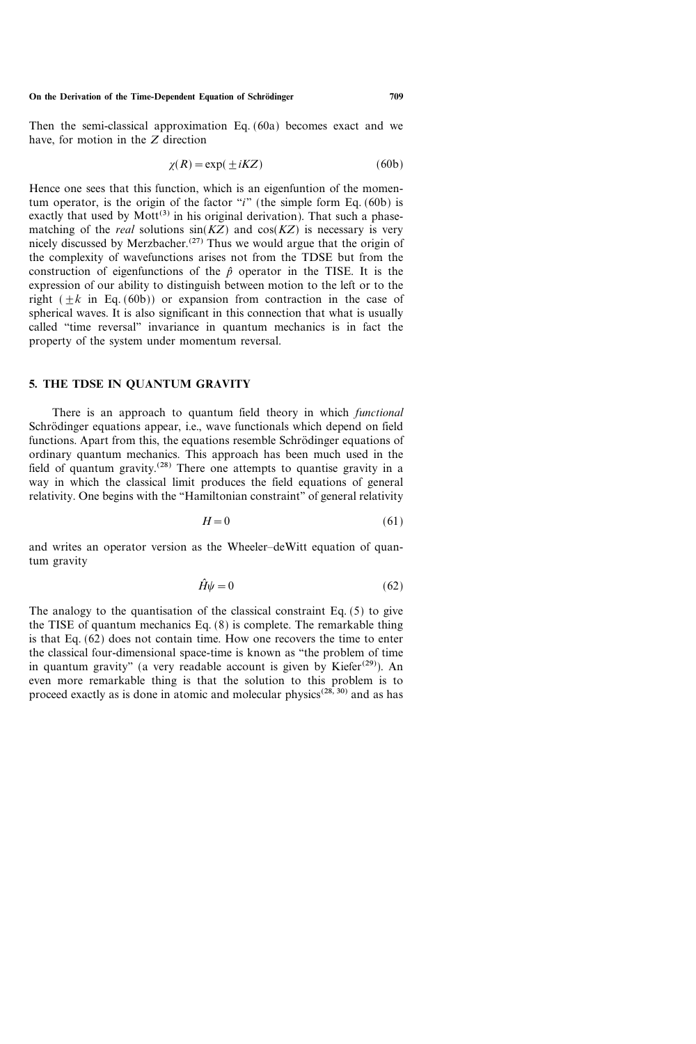Then the semi-classical approximation Eq. (60a) becomes exact and we have, for motion in the Z direction

$$
\chi(R) = \exp(\pm iKZ) \tag{60b}
$$

Hence one sees that this function, which is an eigenfuntion of the momentum operator, is the origin of the factor "i" (the simple form Eq. (60b) is exactly that used by  $Mott^{(3)}$  in his original derivation). That such a phasematching of the *real* solutions  $sin(KZ)$  and  $cos(KZ)$  is necessary is very nicely discussed by Merzbacher.<sup>(27)</sup> Thus we would argue that the origin of the complexity of wavefunctions arises not from the TDSE but from the construction of eigenfunctions of the  $\hat{p}$  operator in the TISE. It is the expression of our ability to distinguish between motion to the left or to the right  $(\pm k$  in Eq. (60b)) or expansion from contraction in the case of spherical waves. It is also significant in this connection that what is usually called "time reversal" invariance in quantum mechanics is in fact the property of the system under momentum reversal.

# 5. THE TDSE IN QUANTUM GRAVITY

There is an approach to quantum field theory in which *functional* Schrödinger equations appear, i.e., wave functionals which depend on field functions. Apart from this, the equations resemble Schrödinger equations of ordinary quantum mechanics. This approach has been much used in the field of quantum gravity.(28) There one attempts to quantise gravity in a way in which the classical limit produces the field equations of general relativity. One begins with the "Hamiltonian constraint" of general relativity

$$
H = 0 \tag{61}
$$

and writes an operator version as the Wheeler-deWitt equation of quantum gravity

$$
\hat{H}\psi = 0\tag{62}
$$

The analogy to the quantisation of the classical constraint Eq. (5) to give the TISE of quantum mechanics Eq. (8) is complete. The remarkable thing is that Eq.  $(62)$  does not contain time. How one recovers the time to enter the classical four-dimensional space-time is known as "the problem of time in quantum gravity" (a very readable account is given by Kiefer<sup>(29)</sup>). An even more remarkable thing is that the solution to this problem is to proceed exactly as is done in atomic and molecular physics<sup> $(28, 30)$ </sup> and as has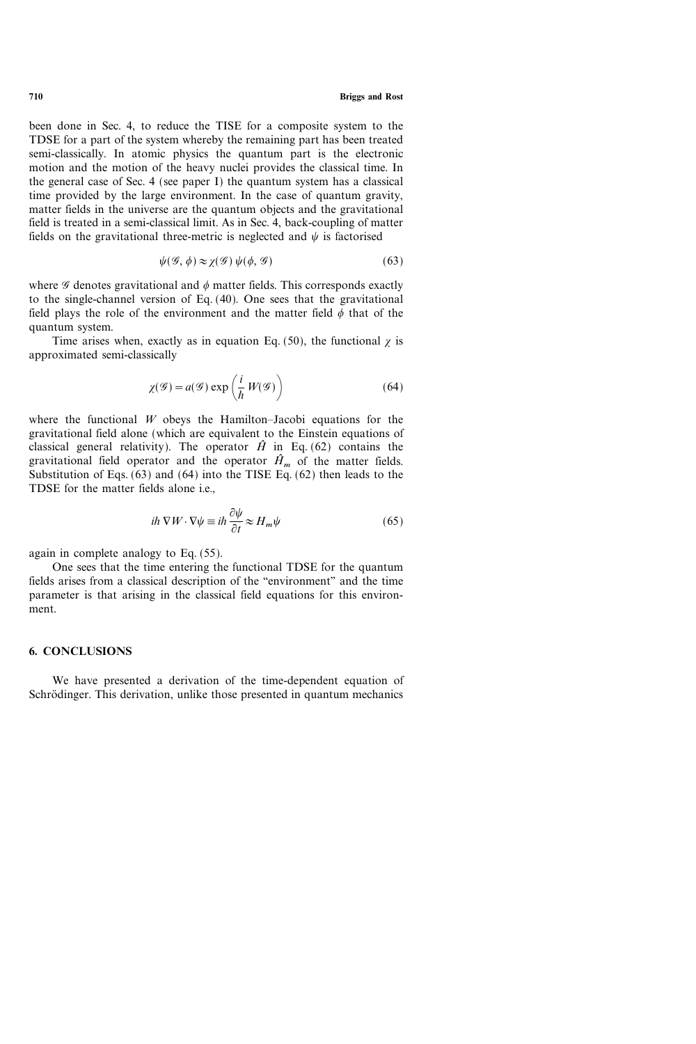been done in Sec. 4, to reduce the TISE for a composite system to the TDSE for a part of the system whereby the remaining part has been treated semi-classically. In atomic physics the quantum part is the electronic motion and the motion of the heavy nuclei provides the classical time. In the general case of Sec. 4 (see paper I) the quantum system has a classical time provided by the large environment. In the case of quantum gravity, matter fields in the universe are the quantum objects and the gravitational field is treated in a semi-classical limit. As in Sec. 4, back-coupling of matter fields on the gravitational three-metric is neglected and  $\psi$  is factorised

$$
\psi(\mathcal{G}, \phi) \approx \chi(\mathcal{G}) \psi(\phi, \mathcal{G}) \tag{63}
$$

where  $\mathscr G$  denotes gravitational and  $\phi$  matter fields. This corresponds exactly to the single-channel version of Eq. (40). One sees that the gravitational field plays the role of the environment and the matter field  $\phi$  that of the quantum system.

Time arises when, exactly as in equation Eq. (50), the functional  $\chi$  is approximated semi-classically

$$
\chi(\mathcal{G}) = a(\mathcal{G}) \exp\left(\frac{i}{\hbar} W(\mathcal{G})\right) \tag{64}
$$

where the functional  $W$  obeys the Hamilton–Jacobi equations for the gravitational field alone (which are equivalent to the Einstein equations of classical general relativity). The operator  $\hat{H}$  in Eq. (62) contains the gravitational field operator and the operator  $\hat{H}_m$  of the matter fields. Substitution of Eqs.  $(63)$  and  $(64)$  into the TISE Eq.  $(62)$  then leads to the TDSE for the matter fields alone i.e.,

$$
i\hbar \nabla W \cdot \nabla \psi \equiv i\hbar \frac{\partial \psi}{\partial t} \approx H_m \psi \tag{65}
$$

again in complete analogy to Eq. (55).

One sees that the time entering the functional TDSE for the quantum fields arises from a classical description of the "environment" and the time parameter is that arising in the classical field equations for this environment.

# 6. CONCLUSIONS

We have presented a derivation of the time-dependent equation of Schrödinger. This derivation, unlike those presented in quantum mechanics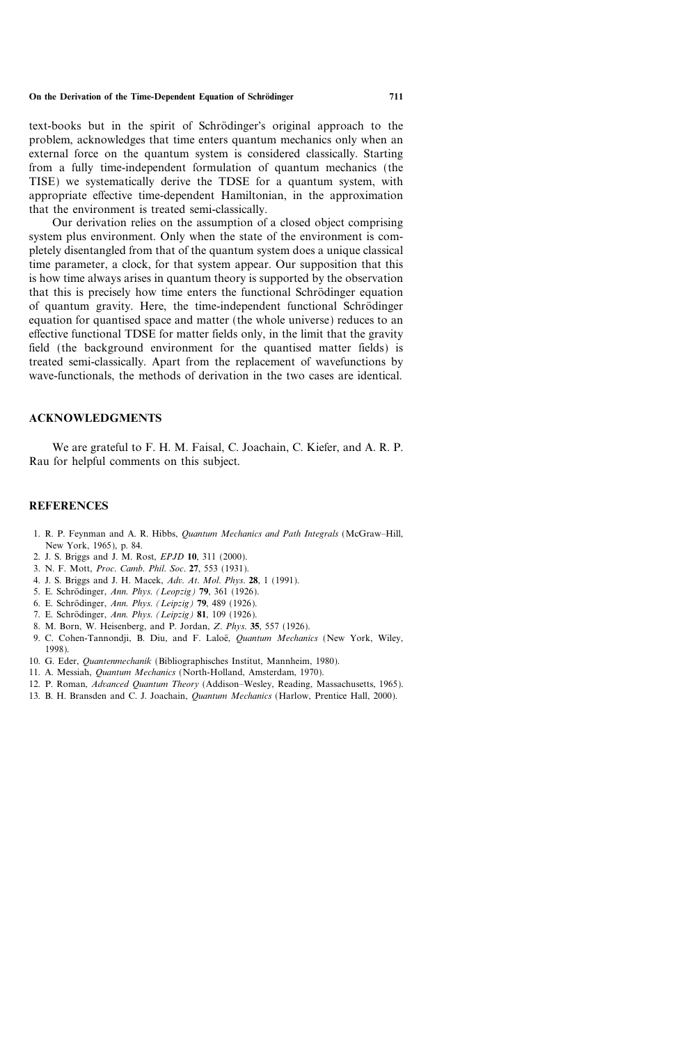text-books but in the spirit of Schrödinger's original approach to the problem, acknowledges that time enters quantum mechanics only when an external force on the quantum system is considered classically. Starting from a fully time-independent formulation of quantum mechanics (the TISE) we systematically derive the TDSE for a quantum system, with appropriate effective time-dependent Hamiltonian, in the approximation that the environment is treated semi-classically.

Our derivation relies on the assumption of a closed object comprising system plus environment. Only when the state of the environment is completely disentangled from that of the quantum system does a unique classical time parameter, a clock, for that system appear. Our supposition that this is how time always arises in quantum theory is supported by the observation that this is precisely how time enters the functional Schrödinger equation of quantum gravity. Here, the time-independent functional Schro dinger equation for quantised space and matter (the whole universe) reduces to an effective functional TDSE for matter fields only, in the limit that the gravity field (the background environment for the quantised matter fields) is treated semi-classically. Apart from the replacement of wavefunctions by wave-functionals, the methods of derivation in the two cases are identical.

#### ACKNOWLEDGMENTS

We are grateful to F. H. M. Faisal, C. Joachain, C. Kiefer, and A. R. P. Rau for helpful comments on this subject.

#### REFERENCES

- 1. R. P. Feynman and A. R. Hibbs, *Quantum Mechanics and Path Integrals* (McGraw–Hill, New York, 1965), p. 84.
- 2. J. S. Briggs and J. M. Rost, EPJD 10, 311 (2000).
- 3. N. F. Mott, Proc. Camb. Phil. Soc. 27, 553 (1931).
- 4. J. S. Briggs and J. H. Macek, Adv. At. Mol. Phys. 28, 1 (1991).
- 5. E. Schrödinger, Ann. Phys. (Leopzig) 79, 361 (1926).
- 6. E. Schrödinger, Ann. Phys. (Leipzig) 79, 489 (1926).
- 7. E. Schrödinger, Ann. Phys. (Leipzig) 81, 109 (1926).
- 8. M. Born, W. Heisenberg, and P. Jordan, Z. Phys. 35, 557 (1926).
- 9. C. Cohen-Tannondji, B. Diu, and F. Laloë, Quantum Mechanics (New York, Wiley, 1998).
- 10. G. Eder, Quantenmechanik (Bibliographisches Institut, Mannheim, 1980).
- 11. A. Messiah, Quantum Mechanics (North-Holland, Amsterdam, 1970).
- 12. P. Roman, Advanced Quantum Theory (Addison-Wesley, Reading, Massachusetts, 1965).
- 13. B. H. Bransden and C. J. Joachain, *Quantum Mechanics* (Harlow, Prentice Hall, 2000).